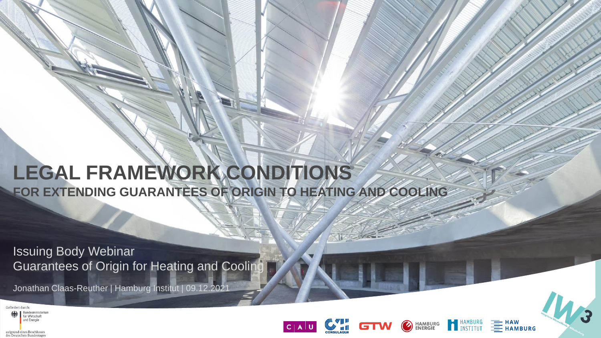# **LEGAL FRAMEWORK CONDITIONS FOR EXTENDING GUARANTEES OF ORIGIN TO HEATING AND COOLING**

Issuing Body Webinar Guarantees of Origin for Heating and Cooling

Jonathan Claas-Reuther | Hamburg Institut | 09.12.2021

Gefördert durch

aufgrund eines Beschlusses des Deutschen Bundestage

**Sundesministeriu** für Wirtschaft und Energie





**EXAMPLE**<br>**HAMBURG** 

HAMBURG<br>
INSTITUT

 $\bigcirc$ 

**HAMBURG<br>ENERGIE**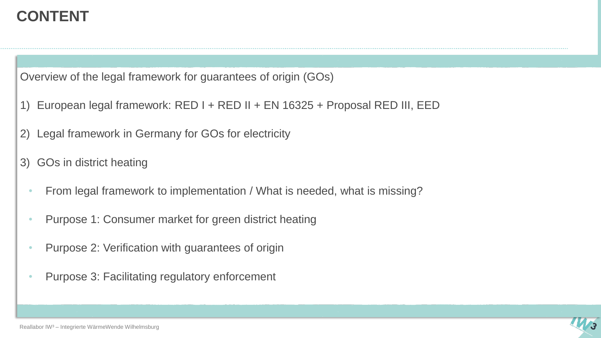### **CONTENT**

Overview of the legal framework for guarantees of origin (GOs)

- 1) European legal framework: RED I + RED II + EN 16325 + Proposal RED III, EED
- 2) Legal framework in Germany for GOs for electricity
- 3) GOs in district heating
	- From legal framework to implementation / What is needed, what is missing?
	- Purpose 1: Consumer market for green district heating
	- Purpose 2: Verification with guarantees of origin
	- Purpose 3: Facilitating regulatory enforcement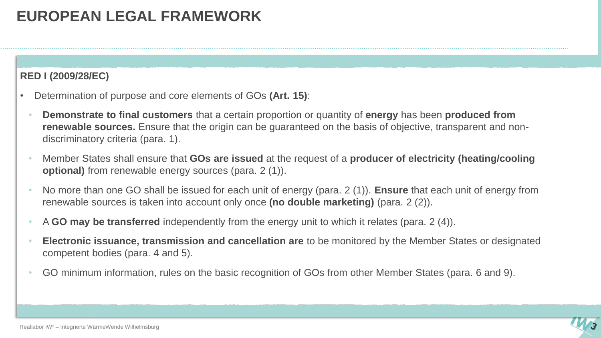## **EUROPEAN LEGAL FRAMEWORK**

#### **RED I (2009/28/EC)**

- Determination of purpose and core elements of GOs **(Art. 15)**:
	- **Demonstrate to final customers** that a certain proportion or quantity of **energy** has been **produced from renewable sources.** Ensure that the origin can be guaranteed on the basis of objective, transparent and nondiscriminatory criteria (para. 1).
	- Member States shall ensure that **GOs are issued** at the request of a **producer of electricity (heating/cooling optional)** from renewable energy sources (para. 2 (1)).
	- No more than one GO shall be issued for each unit of energy (para. 2 (1)). **Ensure** that each unit of energy from renewable sources is taken into account only once **(no double marketing)** (para. 2 (2)).
	- A **GO may be transferred** independently from the energy unit to which it relates (para. 2 (4)).
	- **Electronic issuance, transmission and cancellation are** to be monitored by the Member States or designated competent bodies (para. 4 and 5).
	- GO minimum information, rules on the basic recognition of GOs from other Member States (para. 6 and 9).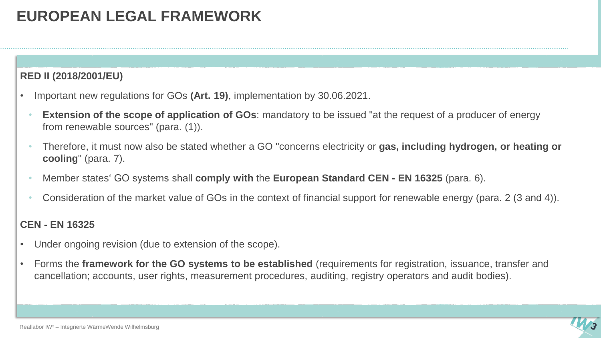## **EUROPEAN LEGAL FRAMEWORK**

#### **RED II (2018/2001/EU)**

- Important new regulations for GOs **(Art. 19)**, implementation by 30.06.2021.
	- **Extension of the scope of application of GOs**: mandatory to be issued "at the request of a producer of energy from renewable sources" (para. (1)).
	- Therefore, it must now also be stated whether a GO "concerns electricity or **gas, including hydrogen, or heating or cooling**" (para. 7).
	- Member states' GO systems shall **comply with** the **European Standard CEN - EN 16325** (para. 6).
	- Consideration of the market value of GOs in the context of financial support for renewable energy (para. 2 (3 and 4)).

#### **CEN - EN 16325**

- Under ongoing revision (due to extension of the scope).
- Forms the **framework for the GO systems to be established** (requirements for registration, issuance, transfer and cancellation; accounts, user rights, measurement procedures, auditing, registry operators and audit bodies).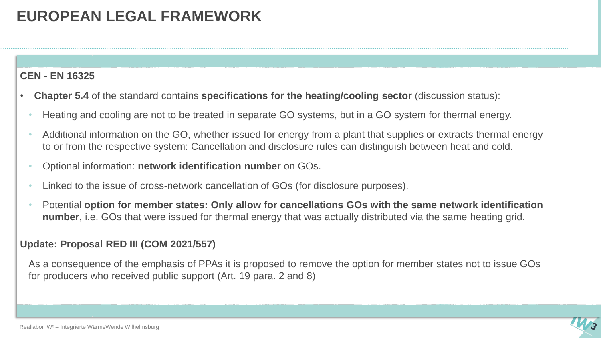## **EUROPEAN LEGAL FRAMEWORK**

#### **CEN - EN 16325**

- **Chapter 5.4** of the standard contains **specifications for the heating/cooling sector** (discussion status):
	- Heating and cooling are not to be treated in separate GO systems, but in a GO system for thermal energy.
	- Additional information on the GO, whether issued for energy from a plant that supplies or extracts thermal energy to or from the respective system: Cancellation and disclosure rules can distinguish between heat and cold.
	- Optional information: **network identification number** on GOs.
	- Linked to the issue of cross-network cancellation of GOs (for disclosure purposes).
	- Potential **option for member states: Only allow for cancellations GOs with the same network identification number**, i.e. GOs that were issued for thermal energy that was actually distributed via the same heating grid.

#### **Update: Proposal RED III (COM 2021/557)**

As a consequence of the emphasis of PPAs it is proposed to remove the option for member states not to issue GOs for producers who received public support (Art. 19 para. 2 and 8)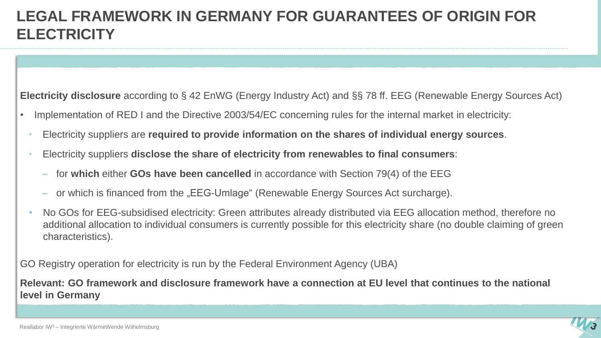### **LEGAL FRAMEWORK IN GERMANY FOR GUARANTEES OF ORIGIN FOR ELECTRICITY**

**Electricity disclosure** according to § 42 EnWG (Energy Industry Act) and §§ 78 ff. EEG (Renewable Energy Sources Act)

- Implementation of RED I and the Directive 2003/54/EC concerning rules for the internal market in electricity:
	- Electricity suppliers are **required to provide information on the shares of individual energy sources**.
	- Electricity suppliers **disclose the share of electricity from renewables to final consumers**:
		- for **which** either **GOs have been cancelled** in accordance with Section 79(4) of the EEG
		- or which is financed from the "EEG-Umlage" (Renewable Energy Sources Act surcharge).
	- No GOs for EEG-subsidised electricity: Green attributes already distributed via EEG allocation method, therefore no additional allocation to individual consumers is currently possible for this electricity share (no double claiming of green characteristics).

GO Registry operation for electricity is run by the Federal Environment Agency (UBA)

**Relevant: GO framework and disclosure framework have a connection at EU level that continues to the national level in Germany**

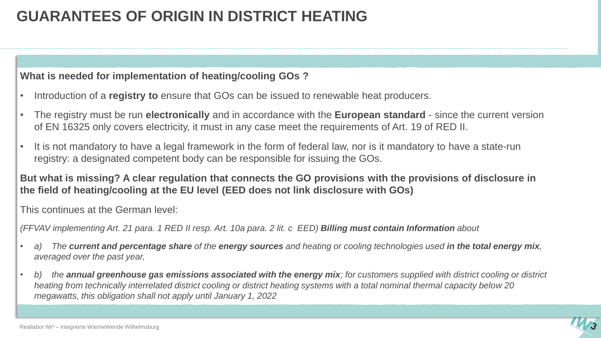#### **What is needed for implementation of heating/cooling GOs ?**

- Introduction of a **registry to** ensure that GOs can be issued to renewable heat producers.
- The registry must be run **electronically** and in accordance with the **European standard**  since the current version of EN 16325 only covers electricity, it must in any case meet the requirements of Art. 19 of RED II.
- It is not mandatory to have a legal framework in the form of federal law, nor is it mandatory to have a state-run registry: a designated competent body can be responsible for issuing the GOs.

#### **But what is missing? A clear regulation that connects the GO provisions with the provisions of disclosure in the field of heating/cooling at the EU level (EED does not link disclosure with GOs)**

This continues at the German level:

*(FFVAV implementing Art. 21 para. 1 RED II resp. Art. 10a para. 2 lit. c EED) Billing must contain Information about*

- *a) The current and percentage share of the energy sources and heating or cooling technologies used in the total energy mix, averaged over the past year,*
- *b) the annual greenhouse gas emissions associated with the energy mix; for customers supplied with district cooling or district heating from technically interrelated district cooling or district heating systems with a total nominal thermal capacity below 20 megawatts, this obligation shall not apply until January 1, 2022*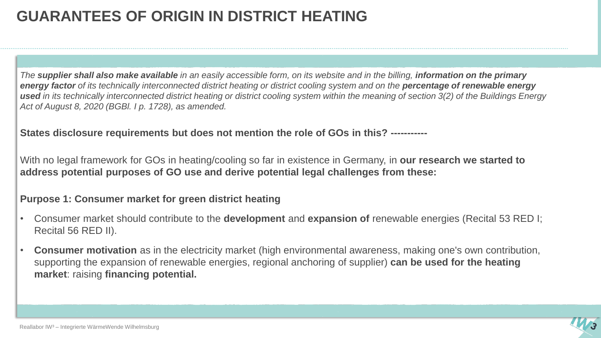*The supplier shall also make available in an easily accessible form, on its website and in the billing, information on the primary energy factor of its technically interconnected district heating or district cooling system and on the percentage of renewable energy*  **used** in its technically interconnected district heating or district cooling system within the meaning of section 3(2) of the Buildings Energy *Act of August 8, 2020 (BGBl. I p. 1728), as amended.*

**States disclosure requirements but does not mention the role of GOs in this? -----------**

With no legal framework for GOs in heating/cooling so far in existence in Germany, in **our research we started to address potential purposes of GO use and derive potential legal challenges from these:**

#### **Purpose 1: Consumer market for green district heating**

- Consumer market should contribute to the **development** and **expansion of** renewable energies (Recital 53 RED I; Recital 56 RED II).
- **Consumer motivation** as in the electricity market (high environmental awareness, making one's own contribution, supporting the expansion of renewable energies, regional anchoring of supplier) **can be used for the heating market**: raising **financing potential.**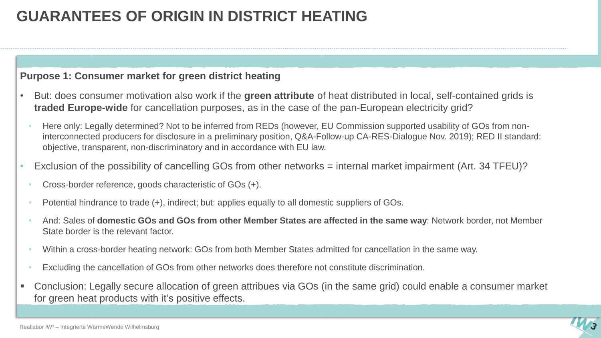#### **Purpose 1: Consumer market for green district heating**

- But: does consumer motivation also work if the **green attribute** of heat distributed in local, self-contained grids is **traded Europe-wide** for cancellation purposes, as in the case of the pan-European electricity grid?
	- Here only: Legally determined? Not to be inferred from REDs (however, EU Commission supported usability of GOs from noninterconnected producers for disclosure in a preliminary position, Q&A-Follow-up CA-RES-Dialogue Nov. 2019); RED II standard: objective, transparent, non-discriminatory and in accordance with EU law.
- Exclusion of the possibility of cancelling GOs from other networks = internal market impairment (Art. 34 TFEU)?
	- Cross-border reference, goods characteristic of GOs (+).
	- Potential hindrance to trade (+), indirect; but: applies equally to all domestic suppliers of GOs.
	- And: Sales of **domestic GOs and GOs from other Member States are affected in the same way**: Network border, not Member State border is the relevant factor.
	- Within a cross-border heating network: GOs from both Member States admitted for cancellation in the same way.
	- Excluding the cancellation of GOs from other networks does therefore not constitute discrimination.
- Conclusion: Legally secure allocation of green attribues via GOs (in the same grid) could enable a consumer market for green heat products with it's positive effects.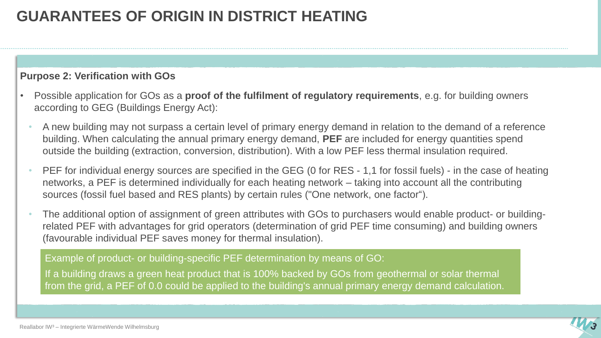#### **Purpose 2: Verification with GOs**

- Possible application for GOs as a **proof of the fulfilment of regulatory requirements**, e.g. for building owners according to GEG (Buildings Energy Act):
	- A new building may not surpass a certain level of primary energy demand in relation to the demand of a reference building. When calculating the annual primary energy demand, **PEF** are included for energy quantities spend outside the building (extraction, conversion, distribution). With a low PEF less thermal insulation required.
	- PEF for individual energy sources are specified in the GEG (0 for RES 1,1 for fossil fuels) in the case of heating networks, a PEF is determined individually for each heating network – taking into account all the contributing sources (fossil fuel based and RES plants) by certain rules ("One network, one factor").
	- The additional option of assignment of green attributes with GOs to purchasers would enable product- or buildingrelated PEF with advantages for grid operators (determination of grid PEF time consuming) and building owners (favourable individual PEF saves money for thermal insulation).

Example of product- or building-specific PEF determination by means of GO:

If a building draws a green heat product that is 100% backed by GOs from geothermal or solar thermal from the grid, a PEF of 0.0 could be applied to the building's annual primary energy demand calculation.

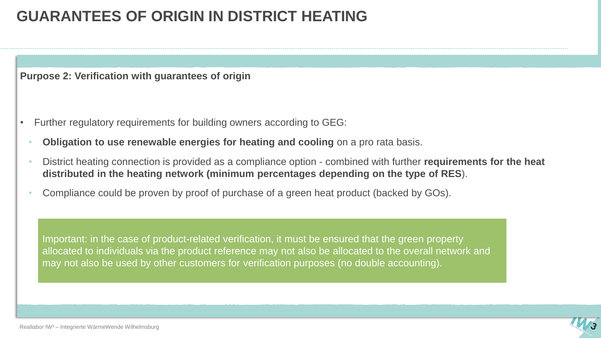**Purpose 2: Verification with guarantees of origin**

- Further regulatory requirements for building owners according to GEG:
	- **Obligation to use renewable energies for heating and cooling** on a pro rata basis.
	- District heating connection is provided as a compliance option combined with further **requirements for the heat distributed in the heating network (minimum percentages depending on the type of RES**).
	- Compliance could be proven by proof of purchase of a green heat product (backed by GOs).

Important: in the case of product-related verification, it must be ensured that the green property allocated to individuals via the product reference may not also be allocated to the overall network and may not also be used by other customers for verification purposes (no double accounting).

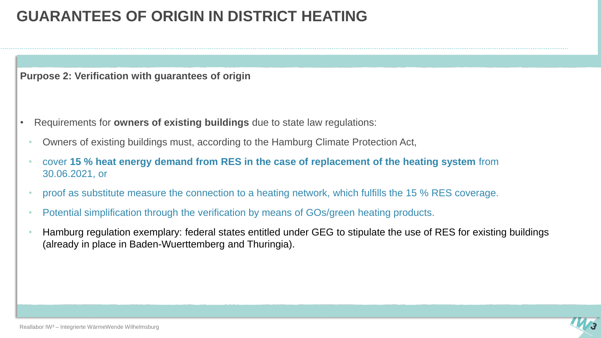**Purpose 2: Verification with guarantees of origin**

- Requirements for **owners of existing buildings** due to state law regulations:
	- Owners of existing buildings must, according to the Hamburg Climate Protection Act,
	- cover **15 % heat energy demand from RES in the case of replacement of the heating system** from 30.06.2021, or
	- proof as substitute measure the connection to a heating network, which fulfills the 15 % RES coverage.
	- Potential simplification through the verification by means of GOs/green heating products.
	- Hamburg regulation exemplary: federal states entitled under GEG to stipulate the use of RES for existing buildings (already in place in Baden-Wuerttemberg and Thuringia).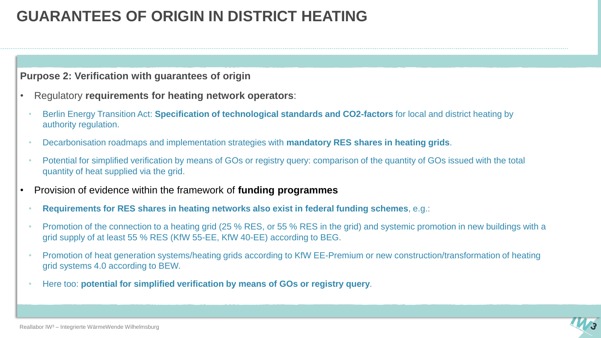#### **Purpose 2: Verification with guarantees of origin**

- Regulatory **requirements for heating network operators**:
	- Berlin Energy Transition Act: **Specification of technological standards and CO2-factors** for local and district heating by authority regulation.
	- Decarbonisation roadmaps and implementation strategies with **mandatory RES shares in heating grids**.
	- Potential for simplified verification by means of GOs or registry query: comparison of the quantity of GOs issued with the total quantity of heat supplied via the grid.
- Provision of evidence within the framework of **funding programmes**
	- **Requirements for RES shares in heating networks also exist in federal funding schemes**, e.g.:
	- Promotion of the connection to a heating grid (25 % RES, or 55 % RES in the grid) and systemic promotion in new buildings with a grid supply of at least 55 % RES (KfW 55-EE, KfW 40-EE) according to BEG.
	- Promotion of heat generation systems/heating grids according to KfW EE-Premium or new construction/transformation of heating grid systems 4.0 according to BEW.
	- Here too: **potential for simplified verification by means of GOs or registry query**.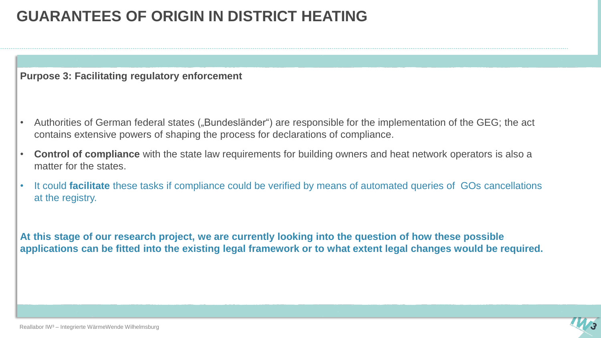**Purpose 3: Facilitating regulatory enforcement**

- Authorities of German federal states ("Bundesländer") are responsible for the implementation of the GEG; the act contains extensive powers of shaping the process for declarations of compliance.
- **Control of compliance** with the state law requirements for building owners and heat network operators is also a matter for the states.
- It could **facilitate** these tasks if compliance could be verified by means of automated queries of GOs cancellations at the registry.

**At this stage of our research project, we are currently looking into the question of how these possible applications can be fitted into the existing legal framework or to what extent legal changes would be required.**